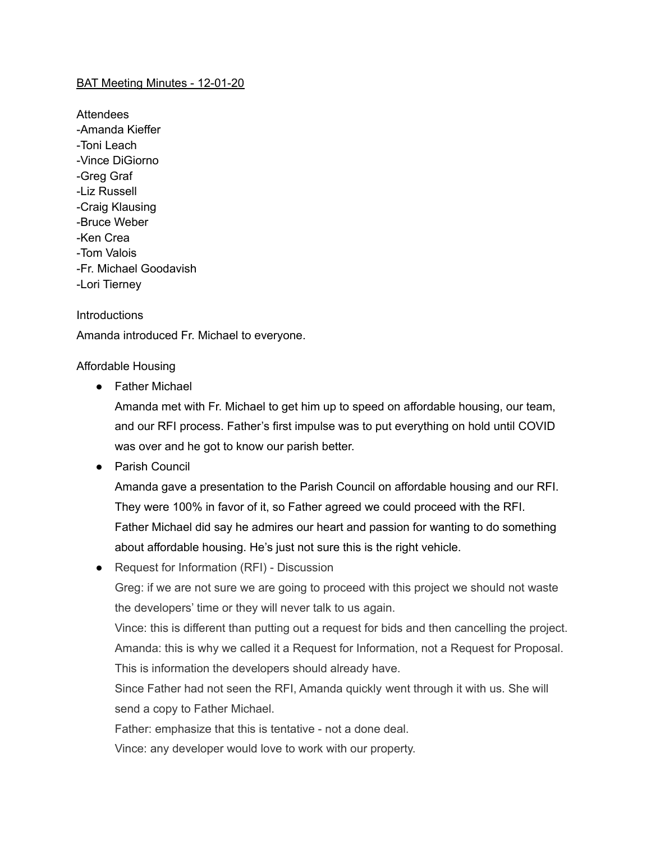### BAT Meeting Minutes - 12-01-20

Attendees -Amanda Kieffer -Toni Leach -Vince DiGiorno -Greg Graf -Liz Russell -Craig Klausing -Bruce Weber -Ken Crea -Tom Valois -Fr. Michael Goodavish -Lori Tierney

### **Introductions**

Amanda introduced Fr. Michael to everyone.

### Affordable Housing

● Father Michael

Amanda met with Fr. Michael to get him up to speed on affordable housing, our team, and our RFI process. Father's first impulse was to put everything on hold until COVID was over and he got to know our parish better.

● Parish Council

Amanda gave a presentation to the Parish Council on affordable housing and our RFI. They were 100% in favor of it, so Father agreed we could proceed with the RFI. Father Michael did say he admires our heart and passion for wanting to do something about affordable housing. He's just not sure this is the right vehicle.

● Request for Information (RFI) - Discussion

Greg: if we are not sure we are going to proceed with this project we should not waste the developers' time or they will never talk to us again.

Vince: this is different than putting out a request for bids and then cancelling the project. Amanda: this is why we called it a Request for Information, not a Request for Proposal. This is information the developers should already have.

Since Father had not seen the RFI, Amanda quickly went through it with us. She will send a copy to Father Michael.

Father: emphasize that this is tentative - not a done deal.

Vince: any developer would love to work with our property.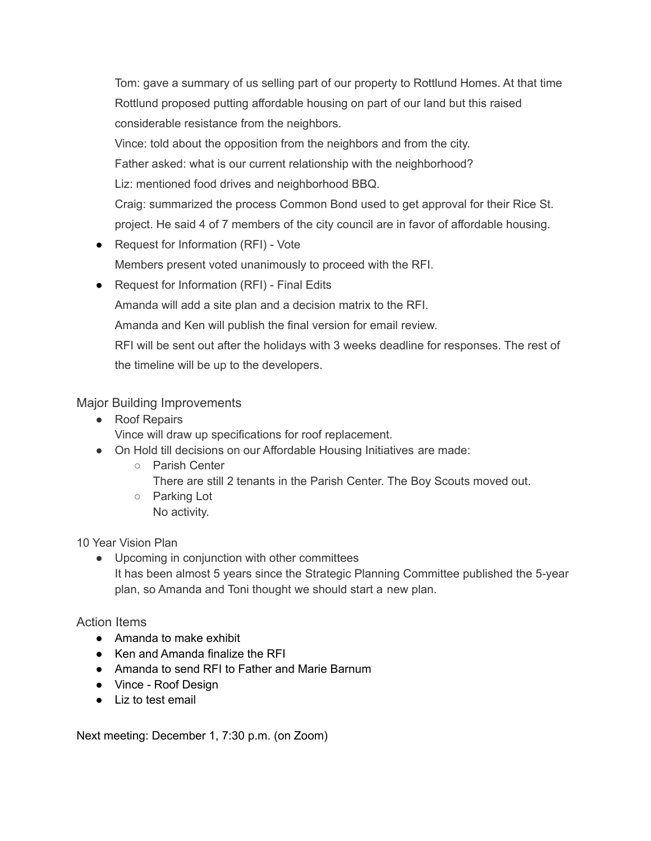Tom: gave a summary of us selling part of our property to Rottlund Homes. At that time Rottlund proposed putting affordable housing on part of our land but this raised considerable resistance from the neighbors.

Vince: told about the opposition from the neighbors and from the city.

Father asked: what is our current relationship with the neighborhood?

Liz: mentioned food drives and neighborhood BBQ.

Craig: summarized the process Common Bond used to get approval for their Rice St. project. He said 4 of 7 members of the city council are in favor of affordable housing.

- Request for Information (RFI) Vote Members present voted unanimously to proceed with the RFI.
- Request for Information (RFI) Final Edits

Amanda will add a site plan and a decision matrix to the RFI.

Amanda and Ken will publish the final version for email review.

RFI will be sent out after the holidays with 3 weeks deadline for responses. The rest of the timeline will be up to the developers.

# Major Building Improvements

- Roof Repairs Vince will draw up specifications for roof replacement.
- On Hold till decisions on our Affordable Housing Initiatives are made:
	- Parish Center
		- There are still 2 tenants in the Parish Center. The Boy Scouts moved out.
	- Parking Lot No activity.

10 Year Vision Plan

● Upcoming in conjunction with other committees It has been almost 5 years since the Strategic Planning Committee published the 5-year plan, so Amanda and Toni thought we should start a new plan.

## Action Items

- Amanda to make exhibit
- Ken and Amanda finalize the RFI
- Amanda to send RFI to Father and Marie Barnum
- Vince Roof Design
- Liz to test email

Next meeting: December 1, 7:30 p.m. (on Zoom)